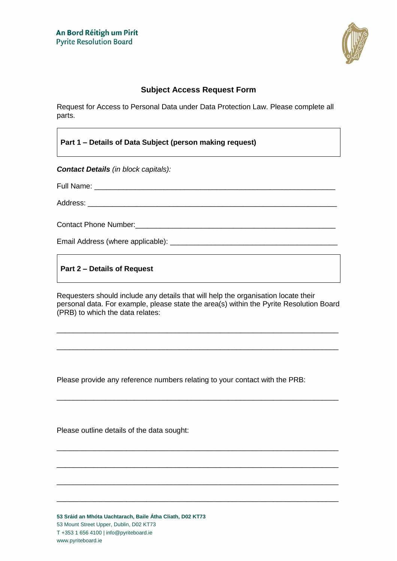

## **Subject Access Request Form**

Request for Access to Personal Data under Data Protection Law. Please complete all parts.

**Part 1 – Details of Data Subject (person making request)**

*Contact Details (in block capitals):*

Full Name: \_\_\_\_\_\_\_\_\_\_

Address: \_\_\_\_\_\_\_\_\_\_\_\_\_\_\_\_\_\_\_\_\_\_\_\_\_\_\_\_\_\_\_\_\_\_\_\_\_\_\_\_\_\_\_\_\_\_\_\_\_\_\_\_\_\_\_\_\_\_\_\_\_

Contact Phone Number:\_\_\_\_\_\_\_\_\_\_\_\_\_\_\_\_\_\_\_\_\_\_\_\_\_\_\_\_\_\_\_\_\_\_\_\_\_\_\_\_\_\_\_\_\_\_\_\_\_

Email Address (where applicable): \_\_\_\_\_\_\_\_\_\_\_\_\_\_\_\_\_\_\_\_\_\_\_\_\_\_\_\_\_\_\_\_\_\_\_\_\_\_\_\_\_

**Part 2 – Details of Request**

Requesters should include any details that will help the organisation locate their personal data. For example, please state the area(s) within the Pyrite Resolution Board (PRB) to which the data relates:

\_\_\_\_\_\_\_\_\_\_\_\_\_\_\_\_\_\_\_\_\_\_\_\_\_\_\_\_\_\_\_\_\_\_\_\_\_\_\_\_\_\_\_\_\_\_\_\_\_\_\_\_\_\_\_\_\_\_\_\_\_\_\_\_\_\_\_\_\_

\_\_\_\_\_\_\_\_\_\_\_\_\_\_\_\_\_\_\_\_\_\_\_\_\_\_\_\_\_\_\_\_\_\_\_\_\_\_\_\_\_\_\_\_\_\_\_\_\_\_\_\_\_\_\_\_\_\_\_\_\_\_\_\_\_\_\_\_\_

\_\_\_\_\_\_\_\_\_\_\_\_\_\_\_\_\_\_\_\_\_\_\_\_\_\_\_\_\_\_\_\_\_\_\_\_\_\_\_\_\_\_\_\_\_\_\_\_\_\_\_\_\_\_\_\_\_\_\_\_\_\_\_\_\_\_\_\_\_

\_\_\_\_\_\_\_\_\_\_\_\_\_\_\_\_\_\_\_\_\_\_\_\_\_\_\_\_\_\_\_\_\_\_\_\_\_\_\_\_\_\_\_\_\_\_\_\_\_\_\_\_\_\_\_\_\_\_\_\_\_\_\_\_\_\_\_\_\_

\_\_\_\_\_\_\_\_\_\_\_\_\_\_\_\_\_\_\_\_\_\_\_\_\_\_\_\_\_\_\_\_\_\_\_\_\_\_\_\_\_\_\_\_\_\_\_\_\_\_\_\_\_\_\_\_\_\_\_\_\_\_\_\_\_\_\_\_\_

\_\_\_\_\_\_\_\_\_\_\_\_\_\_\_\_\_\_\_\_\_\_\_\_\_\_\_\_\_\_\_\_\_\_\_\_\_\_\_\_\_\_\_\_\_\_\_\_\_\_\_\_\_\_\_\_\_\_\_\_\_\_\_\_\_\_\_\_\_

\_\_\_\_\_\_\_\_\_\_\_\_\_\_\_\_\_\_\_\_\_\_\_\_\_\_\_\_\_\_\_\_\_\_\_\_\_\_\_\_\_\_\_\_\_\_\_\_\_\_\_\_\_\_\_\_\_\_\_\_\_\_\_\_\_\_\_\_\_

Please provide any reference numbers relating to your contact with the PRB:

Please outline details of the data sought:

**53 Sráid an Mhóta Uachtarach, Baile Átha Cliath, D02 KT73** 53 Mount Street Upper, Dublin, D02 KT73 T +353 1 656 4100 | info@pyriteboard.ie www.pyriteboard.ie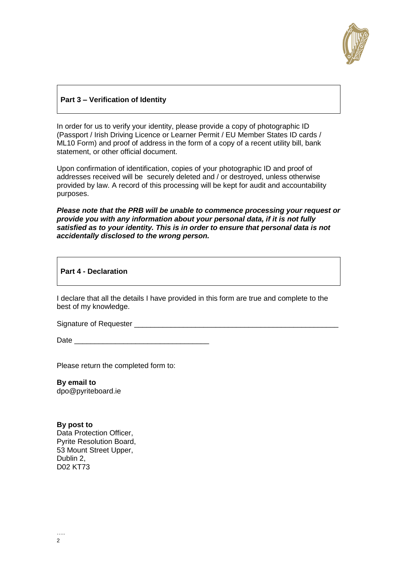

## **Part 3 – Verification of Identity**

In order for us to verify your identity, please provide a copy of photographic ID (Passport / Irish Driving Licence or Learner Permit / EU Member States ID cards / ML10 Form) and proof of address in the form of a copy of a recent utility bill, bank statement, or other official document.

Upon confirmation of identification, copies of your photographic ID and proof of addresses received will be securely deleted and / or destroyed, unless otherwise provided by law. A record of this processing will be kept for audit and accountability purposes.

*Please note that the PRB will be unable to commence processing your request or provide you with any information about your personal data, if it is not fully satisfied as to your identity. This is in order to ensure that personal data is not accidentally disclosed to the wrong person.*

**Part 4 - Declaration**

I declare that all the details I have provided in this form are true and complete to the best of my knowledge.

Signature of Requester \_\_\_\_\_\_\_\_\_\_\_\_\_\_\_\_\_\_\_\_\_\_\_\_\_\_\_\_\_\_\_\_\_\_\_\_\_\_\_\_\_\_\_\_\_\_\_\_\_\_

Date  $\Box$ 

Please return the completed form to:

**By email to** dpo@pyriteboard.ie

**By post to**  Data Protection Officer, Pyrite Resolution Board, 53 Mount Street Upper, Dublin 2, D02 KT73